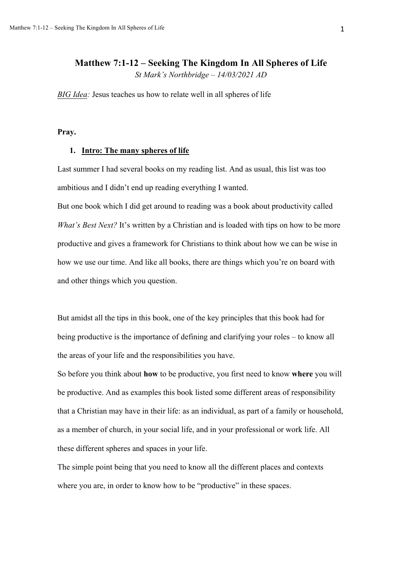# **Matthew 7:1-12 – Seeking The Kingdom In All Spheres of Life** *St Mark's Northbridge – 14/03/2021 AD*

*BIG Idea:* Jesus teaches us how to relate well in all spheres of life

### **Pray.**

### **1. Intro: The many spheres of life**

Last summer I had several books on my reading list. And as usual, this list was too ambitious and I didn't end up reading everything I wanted.

But one book which I did get around to reading was a book about productivity called *What's Best Next?* It's written by a Christian and is loaded with tips on how to be more productive and gives a framework for Christians to think about how we can be wise in how we use our time. And like all books, there are things which you're on board with and other things which you question.

But amidst all the tips in this book, one of the key principles that this book had for being productive is the importance of defining and clarifying your roles – to know all the areas of your life and the responsibilities you have.

So before you think about **how** to be productive, you first need to know **where** you will be productive. And as examples this book listed some different areas of responsibility that a Christian may have in their life: as an individual, as part of a family or household, as a member of church, in your social life, and in your professional or work life. All these different spheres and spaces in your life.

The simple point being that you need to know all the different places and contexts where you are, in order to know how to be "productive" in these spaces.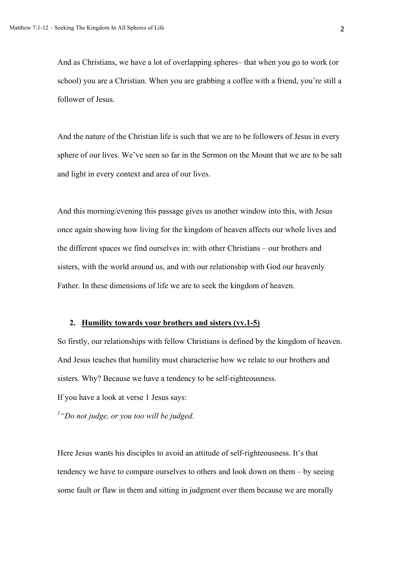And as Christians, we have a lot of overlapping spheres– that when you go to work (or school) you are a Christian. When you are grabbing a coffee with a friend, you're still a follower of Jesus.

And the nature of the Christian life is such that we are to be followers of Jesus in every sphere of our lives. We've seen so far in the Sermon on the Mount that we are to be salt and light in every context and area of our lives.

And this morning/evening this passage gives us another window into this, with Jesus once again showing how living for the kingdom of heaven affects our whole lives and the different spaces we find ourselves in: with other Christians – our brothers and sisters, with the world around us, and with our relationship with God our heavenly Father. In these dimensions of life we are to seek the kingdom of heaven.

## **2. Humility towards your brothers and sisters (vv.1-5)**

So firstly, our relationships with fellow Christians is defined by the kingdom of heaven. And Jesus teaches that humility must characterise how we relate to our brothers and sisters. Why? Because we have a tendency to be self-righteousness.

If you have a look at verse 1 Jesus says:

*1 "Do not judge, or you too will be judged.* 

Here Jesus wants his disciples to avoid an attitude of self-righteousness. It's that tendency we have to compare ourselves to others and look down on them – by seeing some fault or flaw in them and sitting in judgment over them because we are morally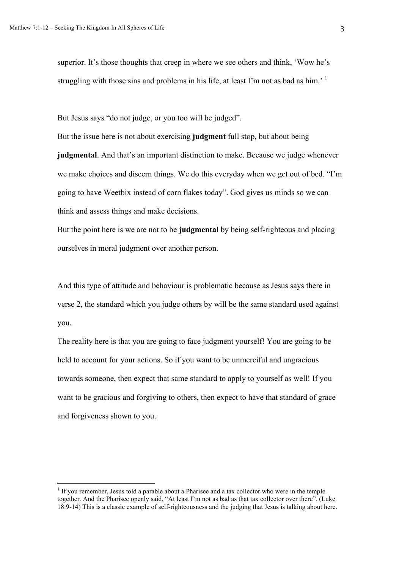superior. It's those thoughts that creep in where we see others and think, 'Wow he's struggling with those sins and problems in his life, at least I'm not as bad as him.<sup> $1$ </sup>

But Jesus says "do not judge, or you too will be judged".

But the issue here is not about exercising **judgment** full stop**,** but about being **judgmental**. And that's an important distinction to make. Because we judge whenever we make choices and discern things. We do this everyday when we get out of bed. "I'm going to have Weetbix instead of corn flakes today". God gives us minds so we can think and assess things and make decisions.

But the point here is we are not to be **judgmental** by being self-righteous and placing ourselves in moral judgment over another person.

And this type of attitude and behaviour is problematic because as Jesus says there in verse 2, the standard which you judge others by will be the same standard used against you.

The reality here is that you are going to face judgment yourself! You are going to be held to account for your actions. So if you want to be unmerciful and ungracious towards someone, then expect that same standard to apply to yourself as well! If you want to be gracious and forgiving to others, then expect to have that standard of grace and forgiveness shown to you.

 $<sup>1</sup>$  If you remember, Jesus told a parable about a Pharisee and a tax collector who were in the temple</sup> together. And the Pharisee openly said, "At least I'm not as bad as that tax collector over there". (Luke 18:9-14) This is a classic example of self-righteousness and the judging that Jesus is talking about here.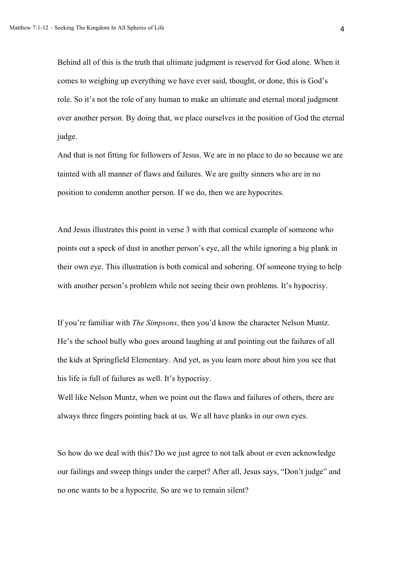Behind all of this is the truth that ultimate judgment is reserved for God alone. When it comes to weighing up everything we have ever said, thought, or done, this is God's role. So it's not the role of any human to make an ultimate and eternal moral judgment over another person. By doing that, we place ourselves in the position of God the eternal judge.

And that is not fitting for followers of Jesus. We are in no place to do so because we are tainted with all manner of flaws and failures. We are guilty sinners who are in no position to condemn another person. If we do, then we are hypocrites.

And Jesus illustrates this point in verse 3 with that comical example of someone who points out a speck of dust in another person's eye, all the while ignoring a big plank in their own eye. This illustration is both comical and sobering. Of someone trying to help with another person's problem while not seeing their own problems. It's hypocrisy.

If you're familiar with *The Simpsons*, then you'd know the character Nelson Muntz. He's the school bully who goes around laughing at and pointing out the failures of all the kids at Springfield Elementary. And yet, as you learn more about him you see that his life is full of failures as well. It's hypocrisy.

Well like Nelson Muntz, when we point out the flaws and failures of others, there are always three fingers pointing back at us. We all have planks in our own eyes.

So how do we deal with this? Do we just agree to not talk about or even acknowledge our failings and sweep things under the carpet? After all, Jesus says, "Don't judge" and no one wants to be a hypocrite. So are we to remain silent?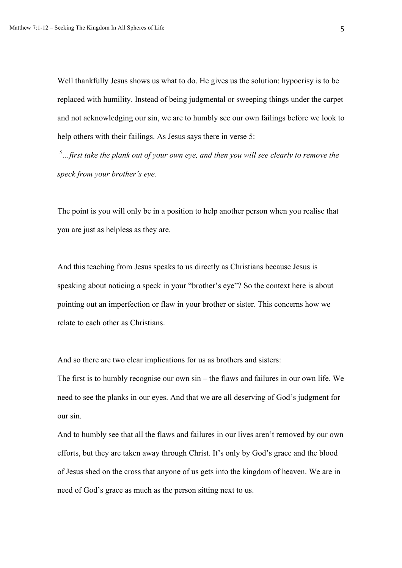Well thankfully Jesus shows us what to do. He gives us the solution: hypocrisy is to be replaced with humility. Instead of being judgmental or sweeping things under the carpet and not acknowledging our sin, we are to humbly see our own failings before we look to help others with their failings. As Jesus says there in verse 5:

*5 …first take the plank out of your own eye, and then you will see clearly to remove the speck from your brother's eye.*

The point is you will only be in a position to help another person when you realise that you are just as helpless as they are.

And this teaching from Jesus speaks to us directly as Christians because Jesus is speaking about noticing a speck in your "brother's eye"? So the context here is about pointing out an imperfection or flaw in your brother or sister. This concerns how we relate to each other as Christians.

And so there are two clear implications for us as brothers and sisters:

The first is to humbly recognise our own sin – the flaws and failures in our own life. We need to see the planks in our eyes. And that we are all deserving of God's judgment for our sin.

And to humbly see that all the flaws and failures in our lives aren't removed by our own efforts, but they are taken away through Christ. It's only by God's grace and the blood of Jesus shed on the cross that anyone of us gets into the kingdom of heaven. We are in need of God's grace as much as the person sitting next to us.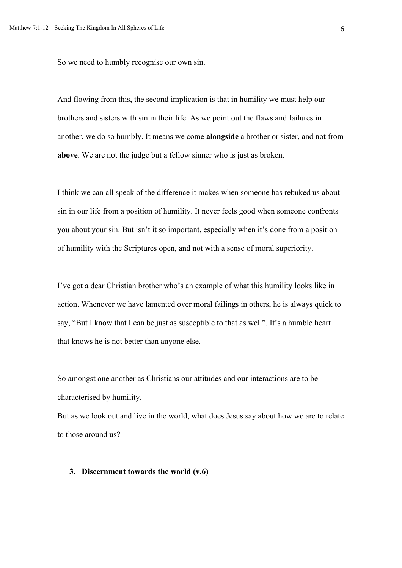So we need to humbly recognise our own sin.

And flowing from this, the second implication is that in humility we must help our brothers and sisters with sin in their life. As we point out the flaws and failures in another, we do so humbly. It means we come **alongside** a brother or sister, and not from **above**. We are not the judge but a fellow sinner who is just as broken.

I think we can all speak of the difference it makes when someone has rebuked us about sin in our life from a position of humility. It never feels good when someone confronts you about your sin. But isn't it so important, especially when it's done from a position of humility with the Scriptures open, and not with a sense of moral superiority.

I've got a dear Christian brother who's an example of what this humility looks like in action. Whenever we have lamented over moral failings in others, he is always quick to say, "But I know that I can be just as susceptible to that as well". It's a humble heart that knows he is not better than anyone else.

So amongst one another as Christians our attitudes and our interactions are to be characterised by humility.

But as we look out and live in the world, what does Jesus say about how we are to relate to those around us?

#### **3. Discernment towards the world (v.6)**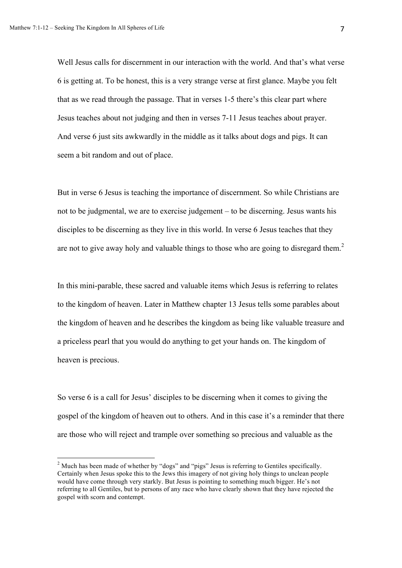Well Jesus calls for discernment in our interaction with the world. And that's what verse 6 is getting at. To be honest, this is a very strange verse at first glance. Maybe you felt that as we read through the passage. That in verses 1-5 there's this clear part where Jesus teaches about not judging and then in verses 7-11 Jesus teaches about prayer. And verse 6 just sits awkwardly in the middle as it talks about dogs and pigs. It can seem a bit random and out of place.

But in verse 6 Jesus is teaching the importance of discernment. So while Christians are not to be judgmental, we are to exercise judgement – to be discerning. Jesus wants his disciples to be discerning as they live in this world. In verse 6 Jesus teaches that they are not to give away holy and valuable things to those who are going to disregard them.<sup>2</sup>

In this mini-parable, these sacred and valuable items which Jesus is referring to relates to the kingdom of heaven. Later in Matthew chapter 13 Jesus tells some parables about the kingdom of heaven and he describes the kingdom as being like valuable treasure and a priceless pearl that you would do anything to get your hands on. The kingdom of heaven is precious.

So verse 6 is a call for Jesus' disciples to be discerning when it comes to giving the gospel of the kingdom of heaven out to others. And in this case it's a reminder that there are those who will reject and trample over something so precious and valuable as the

<sup>&</sup>lt;sup>2</sup> Much has been made of whether by "dogs" and "pigs" Jesus is referring to Gentiles specifically. Certainly when Jesus spoke this to the Jews this imagery of not giving holy things to unclean people would have come through very starkly. But Jesus is pointing to something much bigger. He's not referring to all Gentiles, but to persons of any race who have clearly shown that they have rejected the gospel with scorn and contempt.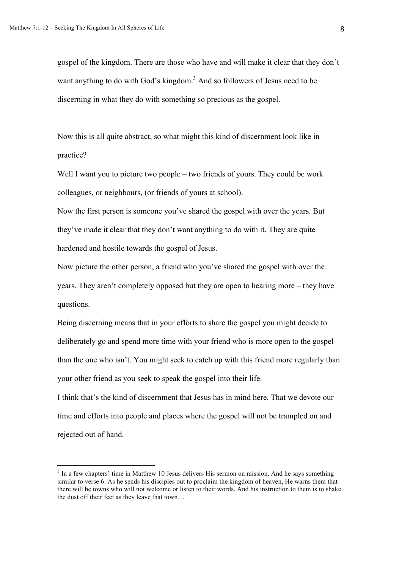gospel of the kingdom. There are those who have and will make it clear that they don't want anything to do with God's kingdom.<sup>3</sup> And so followers of Jesus need to be discerning in what they do with something so precious as the gospel.

Now this is all quite abstract, so what might this kind of discernment look like in practice?

Well I want you to picture two people – two friends of yours. They could be work colleagues, or neighbours, (or friends of yours at school).

Now the first person is someone you've shared the gospel with over the years. But they've made it clear that they don't want anything to do with it. They are quite hardened and hostile towards the gospel of Jesus.

Now picture the other person, a friend who you've shared the gospel with over the years. They aren't completely opposed but they are open to hearing more – they have questions.

Being discerning means that in your efforts to share the gospel you might decide to deliberately go and spend more time with your friend who is more open to the gospel than the one who isn't. You might seek to catch up with this friend more regularly than your other friend as you seek to speak the gospel into their life.

I think that's the kind of discernment that Jesus has in mind here. That we devote our time and efforts into people and places where the gospel will not be trampled on and rejected out of hand.

 $3$  In a few chapters' time in Matthew 10 Jesus delivers His sermon on mission. And he says something similar to verse 6. As he sends his disciples out to proclaim the kingdom of heaven, He warns them that there will be towns who will not welcome or listen to their words. And his instruction to them is to shake the dust off their feet as they leave that town…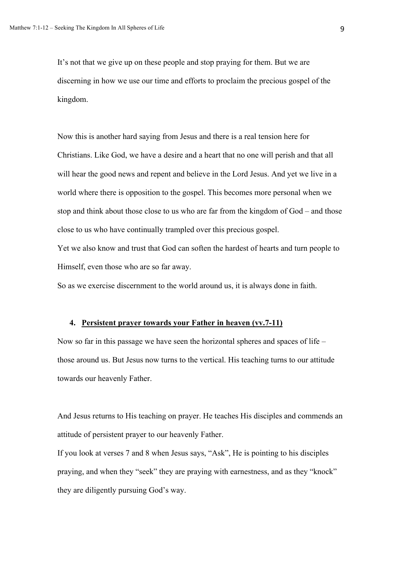It's not that we give up on these people and stop praying for them. But we are discerning in how we use our time and efforts to proclaim the precious gospel of the kingdom.

Now this is another hard saying from Jesus and there is a real tension here for Christians. Like God, we have a desire and a heart that no one will perish and that all will hear the good news and repent and believe in the Lord Jesus. And yet we live in a world where there is opposition to the gospel. This becomes more personal when we stop and think about those close to us who are far from the kingdom of God – and those close to us who have continually trampled over this precious gospel.

Yet we also know and trust that God can soften the hardest of hearts and turn people to Himself, even those who are so far away.

So as we exercise discernment to the world around us, it is always done in faith.

## **4. Persistent prayer towards your Father in heaven (vv.7-11)**

Now so far in this passage we have seen the horizontal spheres and spaces of life – those around us. But Jesus now turns to the vertical. His teaching turns to our attitude towards our heavenly Father.

And Jesus returns to His teaching on prayer. He teaches His disciples and commends an attitude of persistent prayer to our heavenly Father.

If you look at verses 7 and 8 when Jesus says, "Ask", He is pointing to his disciples praying, and when they "seek" they are praying with earnestness, and as they "knock" they are diligently pursuing God's way.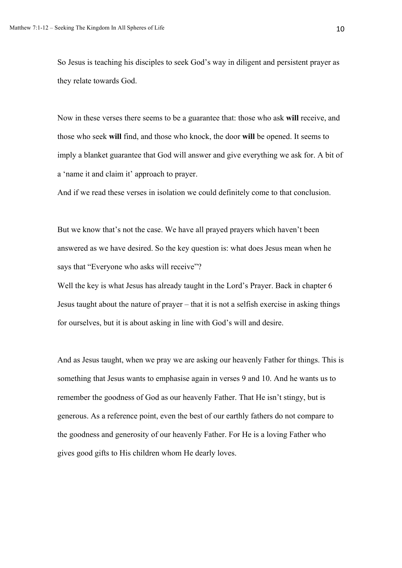So Jesus is teaching his disciples to seek God's way in diligent and persistent prayer as they relate towards God.

Now in these verses there seems to be a guarantee that: those who ask **will** receive, and those who seek **will** find, and those who knock, the door **will** be opened. It seems to imply a blanket guarantee that God will answer and give everything we ask for. A bit of a 'name it and claim it' approach to prayer.

And if we read these verses in isolation we could definitely come to that conclusion.

But we know that's not the case. We have all prayed prayers which haven't been answered as we have desired. So the key question is: what does Jesus mean when he says that "Everyone who asks will receive"?

Well the key is what Jesus has already taught in the Lord's Prayer. Back in chapter 6 Jesus taught about the nature of prayer – that it is not a selfish exercise in asking things for ourselves, but it is about asking in line with God's will and desire.

And as Jesus taught, when we pray we are asking our heavenly Father for things. This is something that Jesus wants to emphasise again in verses 9 and 10. And he wants us to remember the goodness of God as our heavenly Father. That He isn't stingy, but is generous. As a reference point, even the best of our earthly fathers do not compare to the goodness and generosity of our heavenly Father. For He is a loving Father who gives good gifts to His children whom He dearly loves.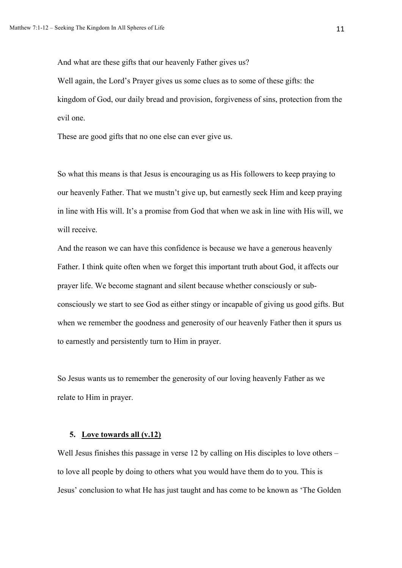And what are these gifts that our heavenly Father gives us? Well again, the Lord's Prayer gives us some clues as to some of these gifts: the kingdom of God, our daily bread and provision, forgiveness of sins, protection from the evil one.

These are good gifts that no one else can ever give us.

So what this means is that Jesus is encouraging us as His followers to keep praying to our heavenly Father. That we mustn't give up, but earnestly seek Him and keep praying in line with His will. It's a promise from God that when we ask in line with His will, we will receive.

And the reason we can have this confidence is because we have a generous heavenly Father. I think quite often when we forget this important truth about God, it affects our prayer life. We become stagnant and silent because whether consciously or subconsciously we start to see God as either stingy or incapable of giving us good gifts. But when we remember the goodness and generosity of our heavenly Father then it spurs us to earnestly and persistently turn to Him in prayer.

So Jesus wants us to remember the generosity of our loving heavenly Father as we relate to Him in prayer.

### **5. Love towards all (v.12)**

Well Jesus finishes this passage in verse 12 by calling on His disciples to love others – to love all people by doing to others what you would have them do to you. This is Jesus' conclusion to what He has just taught and has come to be known as 'The Golden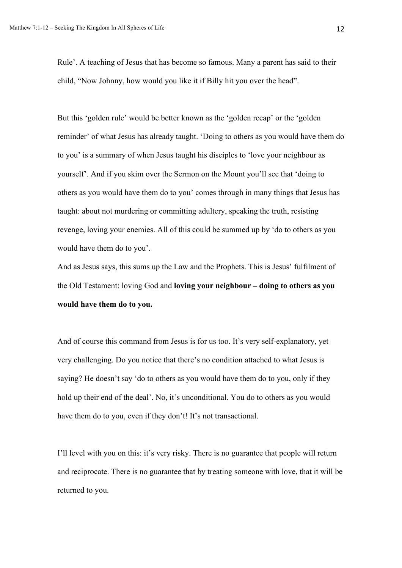Rule'. A teaching of Jesus that has become so famous. Many a parent has said to their child, "Now Johnny, how would you like it if Billy hit you over the head".

But this 'golden rule' would be better known as the 'golden recap' or the 'golden reminder' of what Jesus has already taught. 'Doing to others as you would have them do to you' is a summary of when Jesus taught his disciples to 'love your neighbour as yourself'. And if you skim over the Sermon on the Mount you'll see that 'doing to others as you would have them do to you' comes through in many things that Jesus has taught: about not murdering or committing adultery, speaking the truth, resisting revenge, loving your enemies. All of this could be summed up by 'do to others as you would have them do to you'.

And as Jesus says, this sums up the Law and the Prophets. This is Jesus' fulfilment of the Old Testament: loving God and **loving your neighbour – doing to others as you would have them do to you.**

And of course this command from Jesus is for us too. It's very self-explanatory, yet very challenging. Do you notice that there's no condition attached to what Jesus is saying? He doesn't say 'do to others as you would have them do to you, only if they hold up their end of the deal'. No, it's unconditional. You do to others as you would have them do to you, even if they don't! It's not transactional.

I'll level with you on this: it's very risky. There is no guarantee that people will return and reciprocate. There is no guarantee that by treating someone with love, that it will be returned to you.